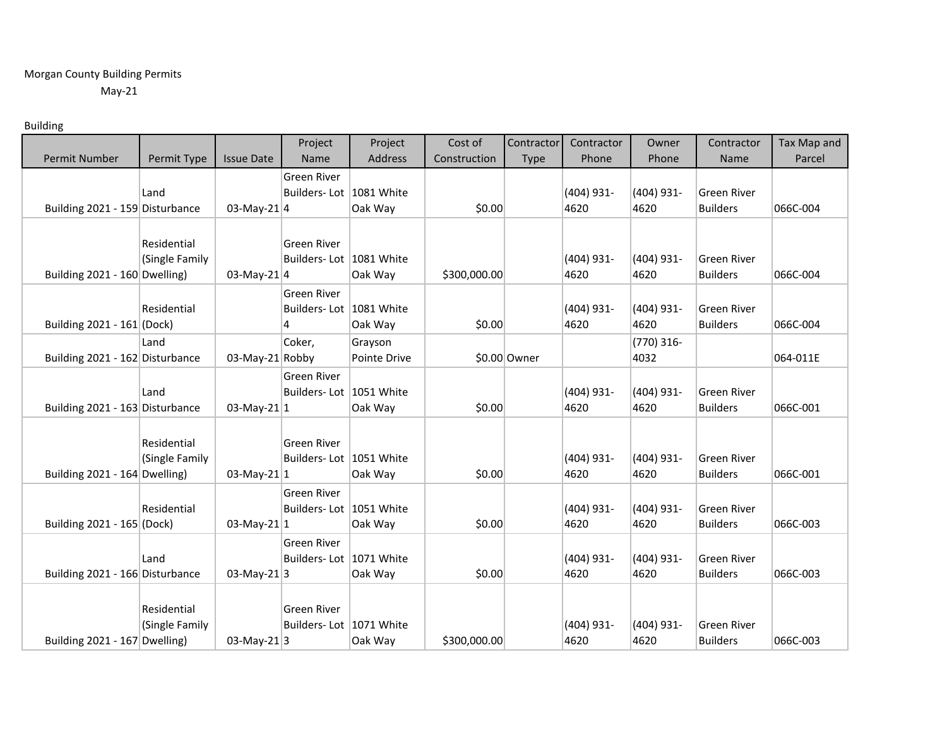## Morgan County Building Permits May-21

## Building

|                                                                                                                                                                                                                                     |                                                                                                       |                                                                                                           | Project                                                                                                                                                                                                                                                                | Project                                                                                   | Cost of                                                        | Contractor   | Contractor                                                                                                                 | Owner                                                                                                                                      | Contractor                                                                                                                                                                                                                   | Tax Map and                                                                      |
|-------------------------------------------------------------------------------------------------------------------------------------------------------------------------------------------------------------------------------------|-------------------------------------------------------------------------------------------------------|-----------------------------------------------------------------------------------------------------------|------------------------------------------------------------------------------------------------------------------------------------------------------------------------------------------------------------------------------------------------------------------------|-------------------------------------------------------------------------------------------|----------------------------------------------------------------|--------------|----------------------------------------------------------------------------------------------------------------------------|--------------------------------------------------------------------------------------------------------------------------------------------|------------------------------------------------------------------------------------------------------------------------------------------------------------------------------------------------------------------------------|----------------------------------------------------------------------------------|
| Permit Number                                                                                                                                                                                                                       | Permit Type                                                                                           | <b>Issue Date</b>                                                                                         | Name                                                                                                                                                                                                                                                                   | Address                                                                                   | Construction                                                   | <b>Type</b>  | Phone                                                                                                                      | Phone                                                                                                                                      | Name                                                                                                                                                                                                                         | Parcel                                                                           |
|                                                                                                                                                                                                                                     |                                                                                                       |                                                                                                           | <b>Green River</b>                                                                                                                                                                                                                                                     |                                                                                           |                                                                |              |                                                                                                                            |                                                                                                                                            |                                                                                                                                                                                                                              |                                                                                  |
|                                                                                                                                                                                                                                     | Land                                                                                                  |                                                                                                           | Builders-Lot 1081 White                                                                                                                                                                                                                                                |                                                                                           |                                                                |              | $(404)$ 931-                                                                                                               | (404) 931-                                                                                                                                 | <b>Green River</b>                                                                                                                                                                                                           |                                                                                  |
| Building 2021 - 159 Disturbance                                                                                                                                                                                                     |                                                                                                       | 03-May-21 $ 4$                                                                                            |                                                                                                                                                                                                                                                                        | Oak Way                                                                                   | \$0.00                                                         |              | 4620                                                                                                                       | 4620                                                                                                                                       | <b>Builders</b>                                                                                                                                                                                                              | 066C-004                                                                         |
|                                                                                                                                                                                                                                     |                                                                                                       |                                                                                                           |                                                                                                                                                                                                                                                                        |                                                                                           |                                                                |              |                                                                                                                            |                                                                                                                                            |                                                                                                                                                                                                                              |                                                                                  |
|                                                                                                                                                                                                                                     | Residential                                                                                           |                                                                                                           | <b>Green River</b>                                                                                                                                                                                                                                                     |                                                                                           |                                                                |              |                                                                                                                            |                                                                                                                                            |                                                                                                                                                                                                                              |                                                                                  |
|                                                                                                                                                                                                                                     | (Single Family                                                                                        |                                                                                                           | Builders-Lot 1081 White                                                                                                                                                                                                                                                |                                                                                           |                                                                |              | $(404)$ 931-                                                                                                               | (404) 931-                                                                                                                                 | <b>Green River</b>                                                                                                                                                                                                           |                                                                                  |
| Building 2021 - 160 Dwelling)                                                                                                                                                                                                       |                                                                                                       | 03-May-21 $ 4$                                                                                            |                                                                                                                                                                                                                                                                        | Oak Way                                                                                   | \$300,000.00                                                   |              | 4620                                                                                                                       | 4620                                                                                                                                       | <b>Builders</b>                                                                                                                                                                                                              | 066C-004                                                                         |
|                                                                                                                                                                                                                                     |                                                                                                       |                                                                                                           | <b>Green River</b>                                                                                                                                                                                                                                                     |                                                                                           |                                                                |              |                                                                                                                            |                                                                                                                                            |                                                                                                                                                                                                                              |                                                                                  |
|                                                                                                                                                                                                                                     | Residential                                                                                           |                                                                                                           | Builders-Lot 1081 White                                                                                                                                                                                                                                                |                                                                                           |                                                                |              | $(404)$ 931-                                                                                                               | (404) 931-                                                                                                                                 | <b>Green River</b>                                                                                                                                                                                                           |                                                                                  |
|                                                                                                                                                                                                                                     |                                                                                                       |                                                                                                           |                                                                                                                                                                                                                                                                        |                                                                                           |                                                                |              |                                                                                                                            |                                                                                                                                            |                                                                                                                                                                                                                              |                                                                                  |
|                                                                                                                                                                                                                                     |                                                                                                       |                                                                                                           |                                                                                                                                                                                                                                                                        |                                                                                           |                                                                |              |                                                                                                                            |                                                                                                                                            |                                                                                                                                                                                                                              |                                                                                  |
|                                                                                                                                                                                                                                     |                                                                                                       |                                                                                                           |                                                                                                                                                                                                                                                                        |                                                                                           |                                                                |              |                                                                                                                            |                                                                                                                                            |                                                                                                                                                                                                                              |                                                                                  |
|                                                                                                                                                                                                                                     |                                                                                                       |                                                                                                           |                                                                                                                                                                                                                                                                        |                                                                                           |                                                                |              |                                                                                                                            |                                                                                                                                            |                                                                                                                                                                                                                              |                                                                                  |
|                                                                                                                                                                                                                                     |                                                                                                       |                                                                                                           |                                                                                                                                                                                                                                                                        |                                                                                           |                                                                |              |                                                                                                                            |                                                                                                                                            |                                                                                                                                                                                                                              |                                                                                  |
|                                                                                                                                                                                                                                     |                                                                                                       |                                                                                                           |                                                                                                                                                                                                                                                                        |                                                                                           |                                                                |              |                                                                                                                            |                                                                                                                                            |                                                                                                                                                                                                                              |                                                                                  |
|                                                                                                                                                                                                                                     |                                                                                                       |                                                                                                           |                                                                                                                                                                                                                                                                        |                                                                                           |                                                                |              |                                                                                                                            |                                                                                                                                            |                                                                                                                                                                                                                              |                                                                                  |
|                                                                                                                                                                                                                                     |                                                                                                       |                                                                                                           |                                                                                                                                                                                                                                                                        |                                                                                           |                                                                |              |                                                                                                                            |                                                                                                                                            |                                                                                                                                                                                                                              |                                                                                  |
|                                                                                                                                                                                                                                     |                                                                                                       |                                                                                                           |                                                                                                                                                                                                                                                                        |                                                                                           |                                                                |              |                                                                                                                            |                                                                                                                                            |                                                                                                                                                                                                                              |                                                                                  |
|                                                                                                                                                                                                                                     |                                                                                                       |                                                                                                           |                                                                                                                                                                                                                                                                        |                                                                                           |                                                                |              |                                                                                                                            |                                                                                                                                            |                                                                                                                                                                                                                              |                                                                                  |
|                                                                                                                                                                                                                                     |                                                                                                       |                                                                                                           |                                                                                                                                                                                                                                                                        |                                                                                           |                                                                |              |                                                                                                                            |                                                                                                                                            |                                                                                                                                                                                                                              |                                                                                  |
|                                                                                                                                                                                                                                     |                                                                                                       |                                                                                                           |                                                                                                                                                                                                                                                                        |                                                                                           |                                                                |              |                                                                                                                            |                                                                                                                                            |                                                                                                                                                                                                                              |                                                                                  |
|                                                                                                                                                                                                                                     |                                                                                                       |                                                                                                           |                                                                                                                                                                                                                                                                        |                                                                                           |                                                                |              |                                                                                                                            |                                                                                                                                            |                                                                                                                                                                                                                              |                                                                                  |
|                                                                                                                                                                                                                                     |                                                                                                       |                                                                                                           |                                                                                                                                                                                                                                                                        |                                                                                           |                                                                |              |                                                                                                                            |                                                                                                                                            |                                                                                                                                                                                                                              |                                                                                  |
|                                                                                                                                                                                                                                     |                                                                                                       |                                                                                                           |                                                                                                                                                                                                                                                                        |                                                                                           |                                                                |              |                                                                                                                            |                                                                                                                                            |                                                                                                                                                                                                                              |                                                                                  |
|                                                                                                                                                                                                                                     |                                                                                                       |                                                                                                           |                                                                                                                                                                                                                                                                        |                                                                                           |                                                                |              |                                                                                                                            |                                                                                                                                            |                                                                                                                                                                                                                              |                                                                                  |
|                                                                                                                                                                                                                                     |                                                                                                       |                                                                                                           |                                                                                                                                                                                                                                                                        |                                                                                           |                                                                |              |                                                                                                                            |                                                                                                                                            |                                                                                                                                                                                                                              |                                                                                  |
|                                                                                                                                                                                                                                     |                                                                                                       |                                                                                                           |                                                                                                                                                                                                                                                                        |                                                                                           |                                                                |              |                                                                                                                            |                                                                                                                                            |                                                                                                                                                                                                                              |                                                                                  |
|                                                                                                                                                                                                                                     |                                                                                                       |                                                                                                           |                                                                                                                                                                                                                                                                        |                                                                                           |                                                                |              |                                                                                                                            |                                                                                                                                            |                                                                                                                                                                                                                              |                                                                                  |
| Building 2021 - 161 (Dock)<br>Building 2021 - 162 Disturbance<br>Building 2021 - 163 Disturbance<br>Building 2021 - 164 Dwelling)<br>Building 2021 - 165 (Dock)<br>Building 2021 - 166 Disturbance<br>Building 2021 - 167 Dwelling) | Land<br>Land<br>Residential<br>(Single Family<br>Residential<br>Land<br>Residential<br>(Single Family | 03-May-21 Robby<br>03-May-21 $ 1$<br>03-May-21 $ 1$<br>03-May-21 $ 1$<br>03-May-21 $ 3$<br>03-May-21 $ 3$ | $\overline{4}$<br>Coker,<br><b>Green River</b><br>Builders-Lot 1051 White<br><b>Green River</b><br>Builders-Lot 1051 White<br><b>Green River</b><br>Builders-Lot 1051 White<br>Green River<br>Builders-Lot 1071 White<br><b>Green River</b><br>Builders-Lot 1071 White | Oak Way<br>Grayson<br>Pointe Drive<br>Oak Way<br>Oak Way<br>Oak Way<br>Oak Way<br>Oak Way | \$0.00<br>\$0.00<br>\$0.00<br>\$0.00<br>\$0.00<br>\$300,000.00 | \$0.00 Owner | 4620<br>$(404)$ 931-<br>4620<br>$(404)$ 931-<br>4620<br>(404) 931-<br>4620<br>$(404)$ 931-<br>4620<br>$(404)$ 931-<br>4620 | 4620<br>$(770)$ 316-<br>4032<br>(404) 931-<br>4620<br>(404) 931-<br>4620<br>(404) 931-<br>4620<br>(404) 931-<br>4620<br>(404) 931-<br>4620 | <b>Builders</b><br><b>Green River</b><br><b>Builders</b><br><b>Green River</b><br><b>Builders</b><br><b>Green River</b><br><b>Builders</b><br><b>Green River</b><br><b>Builders</b><br><b>Green River</b><br><b>Builders</b> | 066C-004<br>064-011E<br>066C-001<br>066C-001<br>066C-003<br>066C-003<br>066C-003 |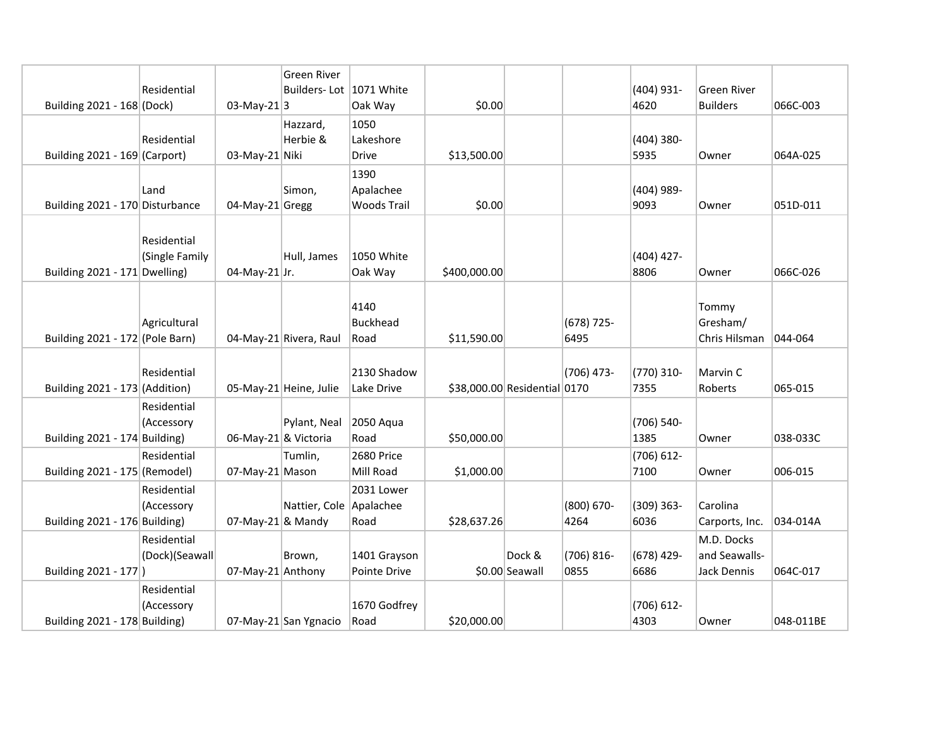|                                 |                               |                      | Green River             |                           |                              |                |                      |                    |                                              |           |
|---------------------------------|-------------------------------|----------------------|-------------------------|---------------------------|------------------------------|----------------|----------------------|--------------------|----------------------------------------------|-----------|
|                                 | Residential                   |                      | Builders-Lot 1071 White |                           |                              |                |                      | (404) 931-         | Green River                                  |           |
| Building 2021 - 168 (Dock)      |                               | 03-May-21 $ 3$       |                         | Oak Way                   | \$0.00                       |                |                      | 4620               | <b>Builders</b>                              | 066C-003  |
|                                 |                               |                      | Hazzard,                | 1050                      |                              |                |                      |                    |                                              |           |
|                                 | Residential                   |                      | Herbie &                | Lakeshore                 |                              |                |                      | (404) 380-         |                                              |           |
| Building 2021 - 169 (Carport)   |                               | 03-May-21 Niki       |                         | Drive                     | \$13,500.00                  |                |                      | 5935               | Owner                                        | 064A-025  |
|                                 |                               |                      |                         | 1390                      |                              |                |                      |                    |                                              |           |
|                                 | Land                          |                      | Simon,                  | Apalachee                 |                              |                |                      | (404) 989-         |                                              |           |
| Building 2021 - 170 Disturbance |                               | 04-May-21 Gregg      |                         | <b>Woods Trail</b>        | \$0.00                       |                |                      | 9093               | Owner                                        | 051D-011  |
| Building $2021 - 171$ Dwelling) | Residential<br>(Single Family | 04-May-21 Jr.        | Hull, James             | 1050 White<br>Oak Way     | \$400,000.00                 |                |                      | (404) 427-<br>8806 | Owner                                        | 066C-026  |
| Building 2021 - 172 (Pole Barn) | Agricultural                  |                      | 04-May-21 Rivera, Raul  | 4140<br>Buckhead<br>Road  | \$11,590.00                  |                | $(678)$ 725-<br>6495 |                    | Tommy<br>Gresham/<br>Chris Hilsman   044-064 |           |
| Building 2021 - 173 (Addition)  | Residential                   |                      | 05-May-21 Heine, Julie  | 2130 Shadow<br>Lake Drive | \$38,000.00 Residential 0170 |                | $(706)$ 473-         | (770) 310-<br>7355 | Marvin C<br>Roberts                          | 065-015   |
| Building 2021 - 174 Building)   | Residential<br>(Accessory     | 06-May-21 & Victoria | Pylant, Neal            | 2050 Aqua<br>Road         | \$50,000.00                  |                |                      | (706) 540-<br>1385 | Owner                                        | 038-033C  |
|                                 | Residential                   |                      | Tumlin,                 | 2680 Price                |                              |                |                      | (706) 612-         |                                              |           |
| Building 2021 - 175 (Remodel)   |                               | 07-May-21 Mason      |                         | Mill Road                 | \$1,000.00                   |                |                      | 7100               | Owner                                        | 006-015   |
|                                 | Residential                   |                      |                         | 2031 Lower                |                              |                |                      |                    |                                              |           |
|                                 | (Accessory                    |                      | Nattier, Cole Apalachee |                           |                              |                | (800) 670-           | (309) 363-         | Carolina                                     |           |
| Building 2021 - 176 Building)   |                               | 07-May-21 & Mandy    |                         | Road                      | \$28,637.26                  |                | 4264                 | 6036               | Carports, Inc.                               | 034-014A  |
|                                 | Residential                   |                      |                         |                           |                              |                |                      |                    | M.D. Docks                                   |           |
|                                 | (Dock)(Seawall                |                      | Brown,                  | 1401 Grayson              |                              | Dock &         | $(706) 816 -$        | (678) 429-         | and Seawalls-                                |           |
| Building 2021 - 177)            |                               | 07-May-21 Anthony    |                         | Pointe Drive              |                              | \$0.00 Seawall | 0855                 | 6686               | Jack Dennis                                  | 064C-017  |
|                                 | Residential                   |                      |                         |                           |                              |                |                      |                    |                                              |           |
|                                 | (Accessory                    |                      |                         | 1670 Godfrey              |                              |                |                      | (706) 612-         |                                              |           |
| Building 2021 - 178 Building)   |                               |                      | 07-May-21 San Ygnacio   | Road                      | \$20,000.00                  |                |                      | 4303               | Owner                                        | 048-011BE |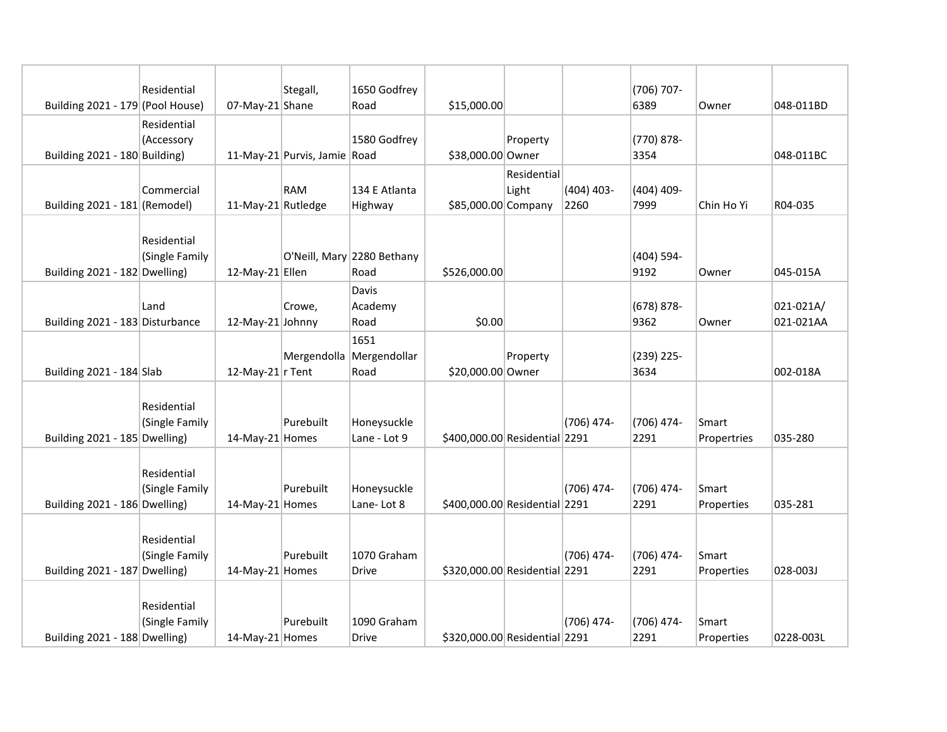|                                  | Residential                   |                    | Stegall,                     | 1650 Godfrey                             |                               |             |              | (706) 707-         |                      |           |
|----------------------------------|-------------------------------|--------------------|------------------------------|------------------------------------------|-------------------------------|-------------|--------------|--------------------|----------------------|-----------|
| Building 2021 - 179 (Pool House) |                               | 07-May-21 Shane    |                              | Road                                     | \$15,000.00                   |             |              | 6389               | Owner                | 048-011BD |
|                                  | Residential                   |                    |                              |                                          |                               |             |              |                    |                      |           |
|                                  | (Accessory                    |                    |                              | 1580 Godfrey                             |                               | Property    |              | (770) 878-         |                      |           |
| Building 2021 - 180 Building)    |                               |                    | 11-May-21 Purvis, Jamie Road |                                          | \$38,000.00 Owner             |             |              | 3354               |                      | 048-011BC |
|                                  |                               |                    |                              |                                          |                               | Residential |              |                    |                      |           |
|                                  | Commercial                    |                    | <b>RAM</b>                   | 134 E Atlanta                            |                               | Light       | $(404)$ 403- | (404) 409-         |                      |           |
| Building 2021 - 181 (Remodel)    |                               | 11-May-21 Rutledge |                              | Highway                                  | \$85,000.00 Company           |             | 2260         | 7999               | Chin Ho Yi           | R04-035   |
| Building 2021 - 182 Dwelling)    | Residential<br>(Single Family | 12-May-21 Ellen    |                              | O'Neill, Mary 2280 Bethany<br>Road       | \$526,000.00                  |             |              | (404) 594-<br>9192 | Owner                | 045-015A  |
|                                  |                               |                    |                              | Davis                                    |                               |             |              |                    |                      |           |
|                                  | Land                          |                    | Crowe,                       | Academy                                  |                               |             |              | $(678)$ 878-       |                      | 021-021A/ |
| Building 2021 - 183 Disturbance  |                               | 12-May-21 Johnny   |                              | Road                                     | \$0.00                        |             |              | 9362               | Owner                | 021-021AA |
| Building 2021 - 184 Slab         |                               | 12-May-21 $r$ Tent |                              | 1651<br>Mergendolla Mergendollar<br>Road | \$20,000.00 Owner             | Property    |              | (239) 225-<br>3634 |                      | 002-018A  |
| Building 2021 - 185 Dwelling)    | Residential<br>(Single Family | 14-May-21 Homes    | Purebuilt                    | Honeysuckle<br>Lane - Lot 9              | \$400,000.00 Residential 2291 |             | (706) 474-   | (706) 474-<br>2291 | Smart<br>Propertries | 035-280   |
| Building 2021 - 186 Dwelling)    | Residential<br>(Single Family | 14-May-21 Homes    | Purebuilt                    | Honeysuckle<br>Lane-Lot 8                | \$400,000.00 Residential 2291 |             | (706) 474-   | (706) 474-<br>2291 | Smart<br>Properties  | 035-281   |
| Building 2021 - 187 Dwelling)    | Residential<br>(Single Family | 14-May-21 Homes    | Purebuilt                    | 1070 Graham<br>Drive                     | \$320,000.00 Residential 2291 |             | $(706)$ 474- | (706) 474-<br>2291 | Smart<br>Properties  | 028-003J  |
| Building 2021 - 188 Dwelling)    | Residential<br>(Single Family | 14-May-21 Homes    | Purebuilt                    | 1090 Graham<br>Drive                     | \$320,000.00 Residential 2291 |             | $(706)$ 474- | (706) 474-<br>2291 | Smart<br>Properties  | 0228-003L |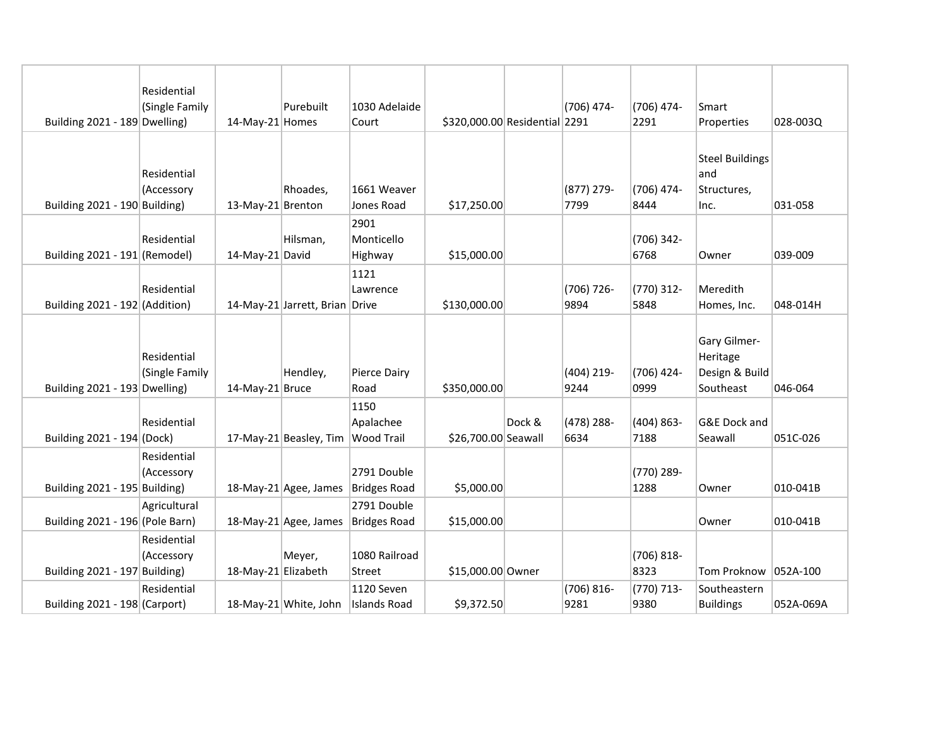| Building 2021 - 189 Dwelling)   | Residential<br>(Single Family | 14-May-21 Homes     | Purebuilt                         | 1030 Adelaide<br>Court        | \$320,000.00 Residential 2291 |        | (706) 474-            | (706) 474-<br>2291  | Smart<br>Properties                                     | 028-003Q  |
|---------------------------------|-------------------------------|---------------------|-----------------------------------|-------------------------------|-------------------------------|--------|-----------------------|---------------------|---------------------------------------------------------|-----------|
| Building 2021 - 190 Building)   | Residential<br>(Accessory     | 13-May-21 Brenton   | Rhoades,                          | 1661 Weaver<br>Jones Road     | \$17,250.00                   |        | (877) 279-<br>7799    | (706) 474-<br>8444  | <b>Steel Buildings</b><br>and<br>Structures,<br>Inc.    | 031-058   |
| Building 2021 - 191 (Remodel)   | Residential                   | 14-May-21 David     | Hilsman,                          | 2901<br>Monticello<br>Highway | \$15,000.00                   |        |                       | (706) 342-<br>6768  | Owner                                                   | 039-009   |
| Building 2021 - 192 (Addition)  | Residential                   |                     | 14-May-21 Jarrett, Brian Drive    | 1121<br>Lawrence              | \$130,000.00                  |        | (706) 726-<br>9894    | (770) 312-<br>5848  | Meredith<br>Homes, Inc.                                 | 048-014H  |
| Building 2021 - 193 Dwelling)   | Residential<br>(Single Family | 14-May-21 Bruce     | Hendley,                          | Pierce Dairy<br>Road          | \$350,000.00                  |        | $(404)$ 219-<br>9244  | (706) 424-<br>0999  | Gary Gilmer-<br>Heritage<br>Design & Build<br>Southeast | 046-064   |
| Building 2021 - 194 (Dock)      | Residential                   |                     | 17-May-21 Beasley, Tim Wood Trail | 1150<br>Apalachee             | \$26,700.00 Seawall           | Dock & | (478) 288-<br>6634    | $(404)863-$<br>7188 | <b>G&amp;E Dock and</b><br>Seawall                      | 051C-026  |
| Building 2021 - 195 Building)   | Residential<br>(Accessory     |                     | 18-May-21 Agee, James             | 2791 Double<br>Bridges Road   | \$5,000.00                    |        |                       | (770) 289-<br>1288  | Owner                                                   | 010-041B  |
| Building 2021 - 196 (Pole Barn) | Agricultural                  |                     | 18-May-21 Agee, James             | 2791 Double<br>Bridges Road   | \$15,000.00                   |        |                       |                     | Owner                                                   | 010-041B  |
| Building 2021 - 197 Building)   | Residential<br>(Accessory     | 18-May-21 Elizabeth | Meyer,                            | 1080 Railroad<br>Street       | \$15,000.00 Owner             |        |                       | (706) 818-<br>8323  | Tom Proknow 052A-100                                    |           |
| Building 2021 - 198 (Carport)   | Residential                   |                     | 18-May-21 White, John             | 1120 Seven<br>Islands Road    | \$9,372.50                    |        | $(706) 816 -$<br>9281 | (770) 713-<br>9380  | Southeastern<br><b>Buildings</b>                        | 052A-069A |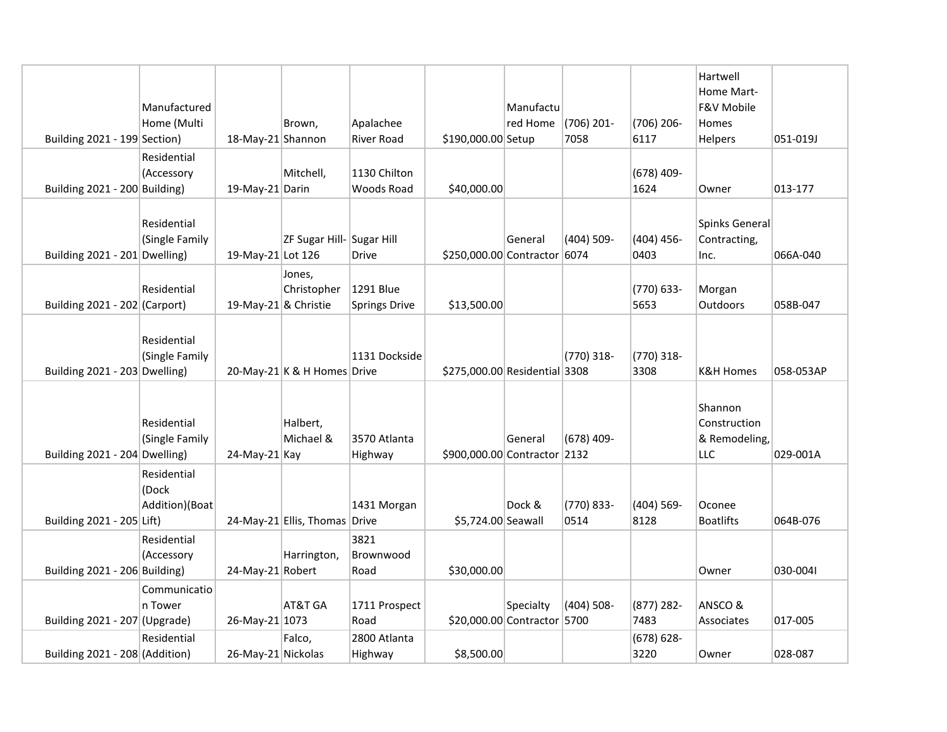|                                 | Manufactured                           |                      |                               |                                   |                               | Manufactu |                    |                       | Hartwell<br>Home Mart-<br>F&V Mobile            |           |
|---------------------------------|----------------------------------------|----------------------|-------------------------------|-----------------------------------|-------------------------------|-----------|--------------------|-----------------------|-------------------------------------------------|-----------|
| Building 2021 - 199 Section)    | Home (Multi                            | 18-May-21 Shannon    | Brown,                        | Apalachee<br><b>River Road</b>    | \$190,000.00 Setup            | red Home  | (706) 201-<br>7058 | (706) 206-<br>6117    | Homes<br>Helpers                                | 051-019J  |
| Building 2021 - 200 Building)   | Residential<br>(Accessory              | 19-May-21 Darin      | Mitchell,                     | 1130 Chilton<br><b>Woods Road</b> | \$40,000.00                   |           |                    | $(678)$ 409-<br>1624  | Owner                                           | 013-177   |
| Building $2021 - 201$ Dwelling) | Residential<br>(Single Family          | 19-May-21 Lot 126    | ZF Sugar Hill-Sugar Hill      | <b>Drive</b>                      | \$250,000.00 Contractor 6074  | General   | $(404)$ 509-       | (404) 456-<br>0403    | Spinks General<br>Contracting,<br>Inc.          | 066A-040  |
| Building 2021 - 202 (Carport)   | Residential                            | 19-May-21 & Christie | Jones,<br>Christopher         | 1291 Blue<br>Springs Drive        | \$13,500.00                   |           |                    | (770) 633-<br>5653    | Morgan<br>Outdoors                              | 058B-047  |
| Building 2021 - 203 Dwelling)   | Residential<br>(Single Family          |                      | 20-May-21 K & H Homes Drive   | 1131 Dockside                     | \$275,000.00 Residential 3308 |           | (770) 318-         | (770) 318-<br>3308    | <b>K&amp;H Homes</b>                            | 058-053AP |
| Building 2021 - 204 Dwelling)   | Residential<br>(Single Family          | $24$ -May-21 Kay     | Halbert,<br>Michael &         | 3570 Atlanta<br>Highway           | \$900,000.00 Contractor 2132  | General   | $(678)$ 409-       |                       | Shannon<br>Construction<br>& Remodeling,<br>LLC | 029-001A  |
| Building 2021 - 205 Lift)       | Residential<br>(Dock<br>Addition)(Boat |                      | 24-May-21 Ellis, Thomas Drive | 1431 Morgan                       | \$5,724.00 Seawall            | Dock &    | (770) 833-<br>0514 | (404) 569-<br>8128    | Oconee<br><b>Boatlifts</b>                      | 064B-076  |
| Building 2021 - 206 Building)   | Residential<br>(Accessory              | 24-May-21 Robert     | Harrington,                   | 3821<br>Brownwood<br>Road         | \$30,000.00                   |           |                    |                       | Owner                                           | 030-0041  |
| Building 2021 - 207 (Upgrade)   | Communicatio<br>n Tower                | 26-May-21 1073       | AT&T GA                       | 1711 Prospect<br>Road             | \$20,000.00 Contractor 5700   | Specialty | $(404)$ 508-       | (877) 282-<br>7483    | ANSCO&<br>Associates                            | 017-005   |
| Building 2021 - 208 (Addition)  | Residential                            | 26-May-21 Nickolas   | Falco.                        | 2800 Atlanta<br>Highway           | \$8,500.00                    |           |                    | $(678) 628 -$<br>3220 | Owner                                           | 028-087   |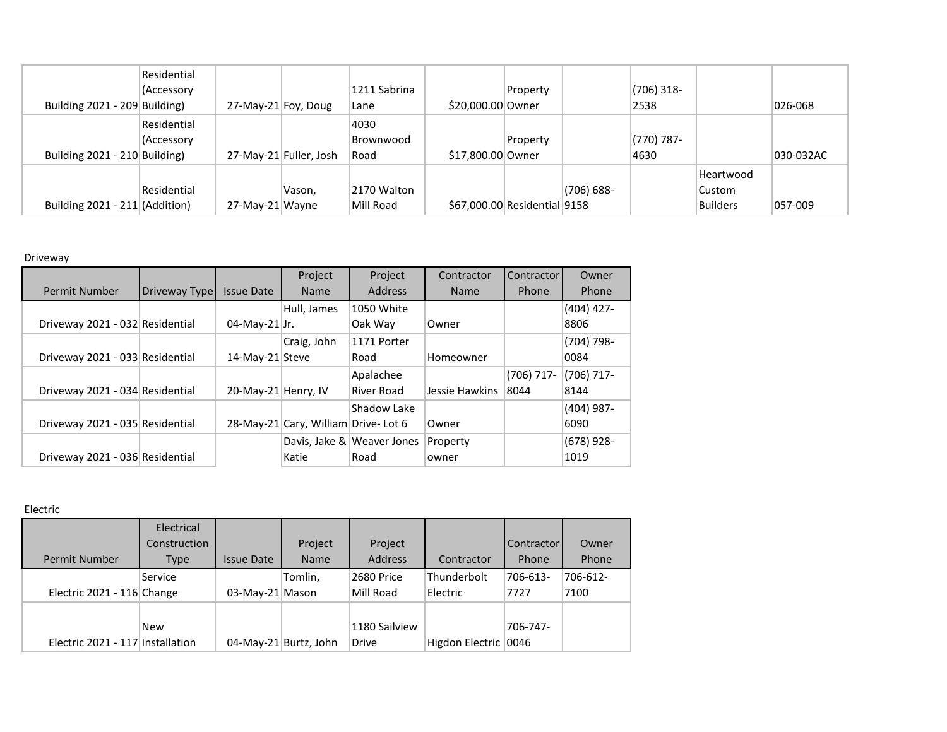|                                 | Residential |                     |                        |              |                              |          |               |            |                 |           |
|---------------------------------|-------------|---------------------|------------------------|--------------|------------------------------|----------|---------------|------------|-----------------|-----------|
|                                 | (Accessory  |                     |                        | 1211 Sabrina |                              | Property |               | (706) 318- |                 |           |
| Building $2021 - 209$ Building) |             | 27-May-21 Foy, Doug |                        | Lane         | \$20,000.00 Owner            |          |               | 2538       |                 | 026-068   |
|                                 | Residential |                     |                        | 4030         |                              |          |               |            |                 |           |
|                                 | (Accessory  |                     |                        | Brownwood    |                              | Property |               | (770) 787- |                 |           |
| Building 2021 - 210 Building    |             |                     | 27-May-21 Fuller, Josh | Road         | \$17,800.00 Owner            |          |               | 4630       |                 | 030-032AC |
|                                 |             |                     |                        |              |                              |          |               |            | Heartwood       |           |
|                                 | Residential |                     | Vason,                 | 2170 Walton  |                              |          | $(706) 688 -$ |            | Custom          |           |
| Building 2021 - 211 (Addition)  |             | 27-May-21 Wayne     |                        | Mill Road    | \$67,000.00 Residential 9158 |          |               |            | <b>Builders</b> | 057-009   |

## Driveway

|                                 |               |                     | Project                             | Project                    | Contractor     | <b>Contractor</b> | Owner        |
|---------------------------------|---------------|---------------------|-------------------------------------|----------------------------|----------------|-------------------|--------------|
| Permit Number                   | Driveway Type | <b>Issue Date</b>   | <b>Name</b>                         | <b>Address</b>             | <b>Name</b>    | Phone             | Phone        |
|                                 |               |                     | Hull, James                         | 1050 White                 |                |                   | $(404)$ 427- |
| Driveway 2021 - 032 Residential |               | $04$ -May-21 Jr.    |                                     | Oak Way                    | Owner          |                   | 8806         |
|                                 |               |                     | Craig, John                         | 1171 Porter                |                |                   | $(704)$ 798- |
| Driveway 2021 - 033 Residential |               | 14-May-21 Steve     |                                     | Road                       | Homeowner      |                   | 0084         |
|                                 |               |                     |                                     | Apalachee                  |                | $(706)$ 717-      | (706) 717-   |
| Driveway 2021 - 034 Residential |               | 20-May-21 Henry, IV |                                     | River Road                 | Jessie Hawkins | 8044              | 8144         |
|                                 |               |                     |                                     | Shadow Lake                |                |                   | $(404)$ 987- |
| Driveway 2021 - 035 Residential |               |                     | 28-May-21 Cary, William Drive-Lot 6 |                            | Owner          |                   | 6090         |
|                                 |               |                     |                                     | Davis, Jake & Weaver Jones | Property       |                   | $(678)$ 928- |
| Driveway 2021 - 036 Residential |               |                     | Katie                               | Road                       | owner          |                   | 1019         |

Electric

| <b>Permit Number</b>             | Electrical<br>Construction<br>Type | <b>Issue Date</b> | Project<br><b>Name</b> | Project<br><b>Address</b>     | Contractor              | Contractor<br>Phone | Owner<br>Phone   |
|----------------------------------|------------------------------------|-------------------|------------------------|-------------------------------|-------------------------|---------------------|------------------|
| Electric 2021 - 116 Change       | Service                            | 03-May-21 Mason   | Tomlin,                | 2680 Price<br>Mill Road       | Thunderbolt<br>Electric | 706-613-<br>7727    | 706-612-<br>7100 |
| Electric 2021 - 117 Installation | <b>New</b>                         |                   | 04-May-21 Burtz, John  | 1180 Sailview<br><b>Drive</b> | Higdon Electric         | 706-747-<br>0046    |                  |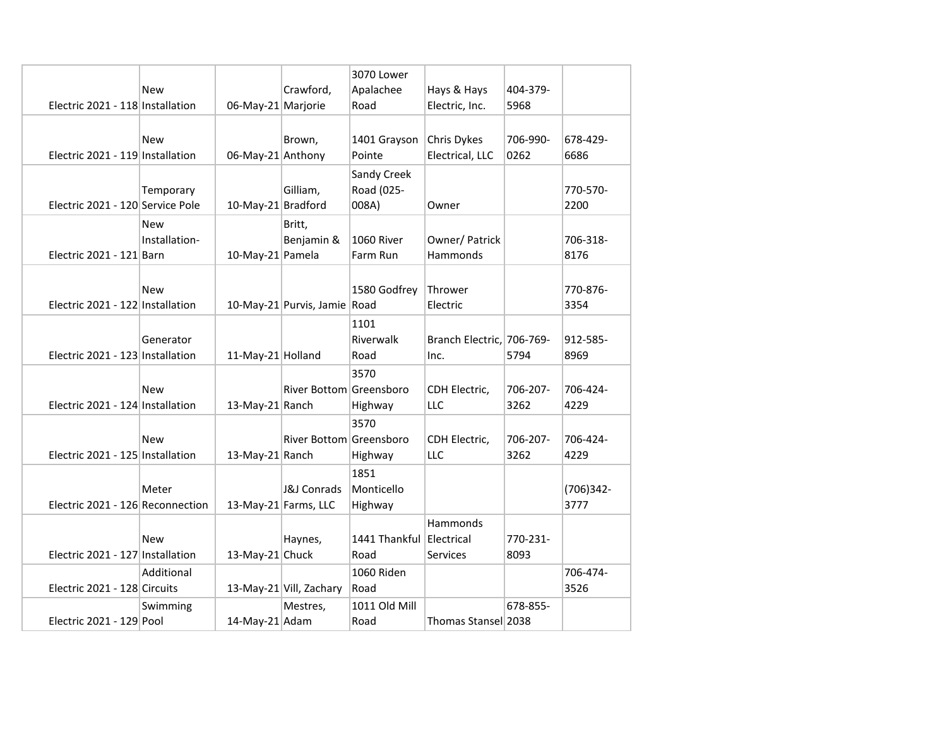|                                  |               |                    |                              | 3070 Lower               |                           |          |              |
|----------------------------------|---------------|--------------------|------------------------------|--------------------------|---------------------------|----------|--------------|
|                                  | <b>New</b>    |                    | Crawford,                    | Apalachee                | Hays & Hays               | 404-379- |              |
| Electric 2021 - 118 Installation |               | 06-May-21 Marjorie |                              | Road                     | Electric, Inc.            | 5968     |              |
|                                  |               |                    |                              |                          |                           |          |              |
|                                  | <b>New</b>    |                    | Brown,                       | 1401 Grayson             | Chris Dykes               | 706-990- | 678-429-     |
| Electric 2021 - 119 Installation |               | 06-May-21 Anthony  |                              | Pointe                   | Electrical, LLC           | 0262     | 6686         |
|                                  |               |                    |                              | Sandy Creek              |                           |          |              |
|                                  | Temporary     |                    | Gilliam,                     | Road (025-               |                           |          | 770-570-     |
| Electric 2021 - 120 Service Pole |               | 10-May-21 Bradford |                              | 008A)                    | Owner                     |          | 2200         |
|                                  | <b>New</b>    |                    | Britt,                       |                          |                           |          |              |
|                                  | Installation- |                    | Benjamin &                   | 1060 River               | Owner/ Patrick            |          | 706-318-     |
| Electric 2021 - 121 Barn         |               | 10-May-21 Pamela   |                              | Farm Run                 | Hammonds                  |          | 8176         |
|                                  |               |                    |                              |                          |                           |          |              |
|                                  | New           |                    |                              | 1580 Godfrey             | Thrower                   |          | 770-876-     |
| Electric 2021 - 122 Installation |               |                    | 10-May-21 Purvis, Jamie Road |                          | Electric                  |          | 3354         |
|                                  |               |                    |                              | 1101                     |                           |          |              |
|                                  | Generator     |                    |                              | Riverwalk                | Branch Electric, 706-769- |          | 912-585-     |
| Electric 2021 - 123 Installation |               | 11-May-21 Holland  |                              | Road                     | Inc.                      | 5794     | 8969         |
|                                  |               |                    |                              | 3570                     |                           |          |              |
|                                  | <b>New</b>    |                    | River Bottom Greensboro      |                          | CDH Electric,             | 706-207- | 706-424-     |
| Electric 2021 - 124 Installation |               | 13-May-21 Ranch    |                              | Highway                  | <b>LLC</b>                | 3262     | 4229         |
|                                  |               |                    |                              | 3570                     |                           |          |              |
|                                  | <b>New</b>    |                    | River Bottom Greensboro      |                          | CDH Electric,             | 706-207- | 706-424-     |
| Electric 2021 - 125 Installation |               | 13-May-21 Ranch    |                              | Highway                  | <b>LLC</b>                | 3262     | 4229         |
|                                  |               |                    |                              | 1851                     |                           |          |              |
|                                  | Meter         |                    | <b>J&amp;J Conrads</b>       | Monticello               |                           |          | $(706)342 -$ |
| Electric 2021 - 126 Reconnection |               |                    | 13-May-21 Farms, LLC         | Highway                  |                           |          | 3777         |
|                                  |               |                    |                              |                          | Hammonds                  |          |              |
|                                  | <b>New</b>    |                    | Haynes,                      | 1441 Thankful Electrical |                           | 770-231- |              |
| Electric 2021 - 127 Installation |               | 13-May-21 Chuck    |                              | Road                     | Services                  | 8093     |              |
|                                  | Additional    |                    |                              | 1060 Riden               |                           |          | 706-474-     |
| Electric 2021 - 128 Circuits     |               |                    | 13-May-21 Vill, Zachary      | Road                     |                           |          | 3526         |
|                                  | Swimming      |                    | Mestres,                     | 1011 Old Mill            |                           | 678-855- |              |
| Electric 2021 - 129 Pool         |               | 14-May-21 Adam     |                              | Road                     | Thomas Stansel 2038       |          |              |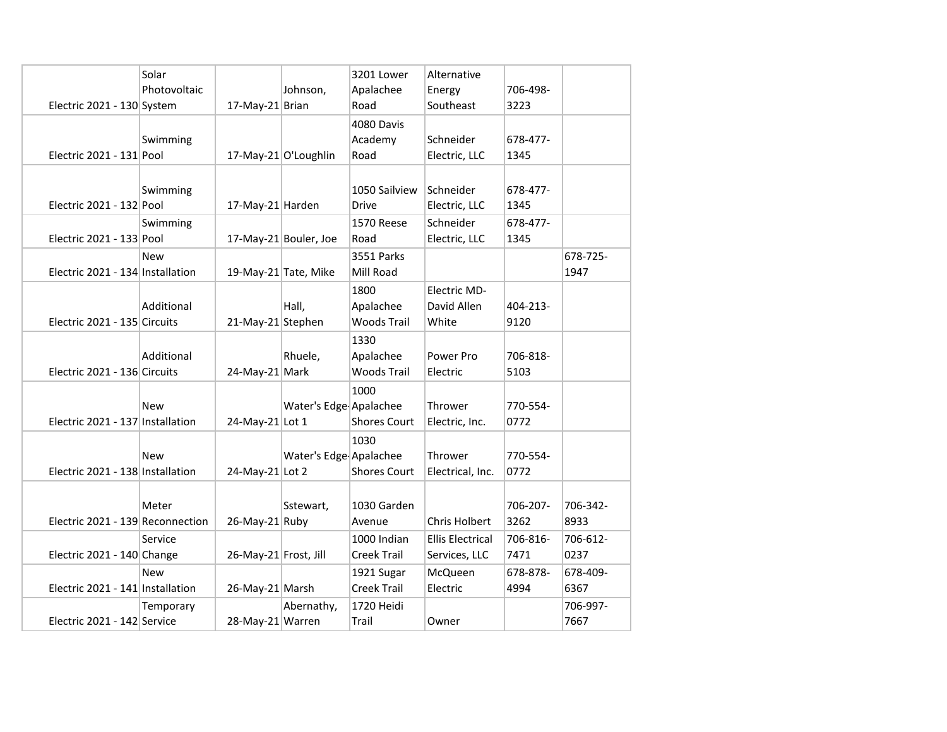| Electric 2021 - 130 System       | Solar<br>Photovoltaic | Johnson,<br>17-May-21 Brian    | 3201 Lower<br>Apalachee<br>Road                       | Alternative<br>Energy<br>Southeast       | 706-498-<br>3223 |                  |
|----------------------------------|-----------------------|--------------------------------|-------------------------------------------------------|------------------------------------------|------------------|------------------|
| Electric 2021 - $131$ Pool       | Swimming              | 17-May-21 O'Loughlin           | 4080 Davis<br>Academy<br>Road                         | Schneider<br>Electric, LLC               | 678-477-<br>1345 |                  |
| Electric 2021 - 132 Pool         | Swimming              | 17-May-21 Harden               | 1050 Sailview<br><b>Drive</b>                         | Schneider<br>Electric, LLC               | 678-477-<br>1345 |                  |
| Electric 2021 - 133 Pool         | Swimming              | 17-May-21 Bouler, Joe          | 1570 Reese<br>Road                                    | Schneider<br>Electric, LLC               | 678-477-<br>1345 |                  |
| Electric 2021 - 134 Installation | <b>New</b>            | 19-May-21 Tate, Mike           | <b>3551 Parks</b><br>Mill Road                        |                                          |                  | 678-725-<br>1947 |
| Electric 2021 - 135 Circuits     | Additional            | Hall,<br>21-May-21 Stephen     | 1800<br>Apalachee<br><b>Woods Trail</b>               | Electric MD-<br>David Allen<br>White     | 404-213-<br>9120 |                  |
| Electric 2021 - 136 Circuits     | Additional            | Rhuele,<br>24-May-21 Mark      | 1330<br>Apalachee<br>Woods Trail                      | Power Pro<br>Electric                    | 706-818-<br>5103 |                  |
| Electric 2021 - 137 Installation | New                   | 24-May-21 Lot 1                | 1000<br>Water's Edge Apalachee<br><b>Shores Court</b> | Thrower<br>Electric, Inc.                | 770-554-<br>0772 |                  |
| Electric 2021 - 138 Installation | New                   | 24-May-21 Lot 2                | 1030<br>Water's Edge Apalachee<br><b>Shores Court</b> | Thrower<br>Electrical, Inc.              | 770-554-<br>0772 |                  |
| Electric 2021 - 139 Reconnection | Meter                 | Sstewart,<br>26-May-21 Ruby    | 1030 Garden<br>Avenue                                 | Chris Holbert                            | 706-207-<br>3262 | 706-342-<br>8933 |
| Electric 2021 - 140 Change       | Service               | 26-May-21 Frost, Jill          | 1000 Indian<br>Creek Trail                            | <b>Ellis Electrical</b><br>Services, LLC | 706-816-<br>7471 | 706-612-<br>0237 |
| Electric 2021 - 141 Installation | <b>New</b>            | 26-May-21 Marsh                | 1921 Sugar<br>Creek Trail                             | McQueen<br>Electric                      | 678-878-<br>4994 | 678-409-<br>6367 |
| Electric 2021 - 142 Service      | Temporary             | Abernathy,<br>28-May-21 Warren | 1720 Heidi<br>Trail                                   | Owner                                    |                  | 706-997-<br>7667 |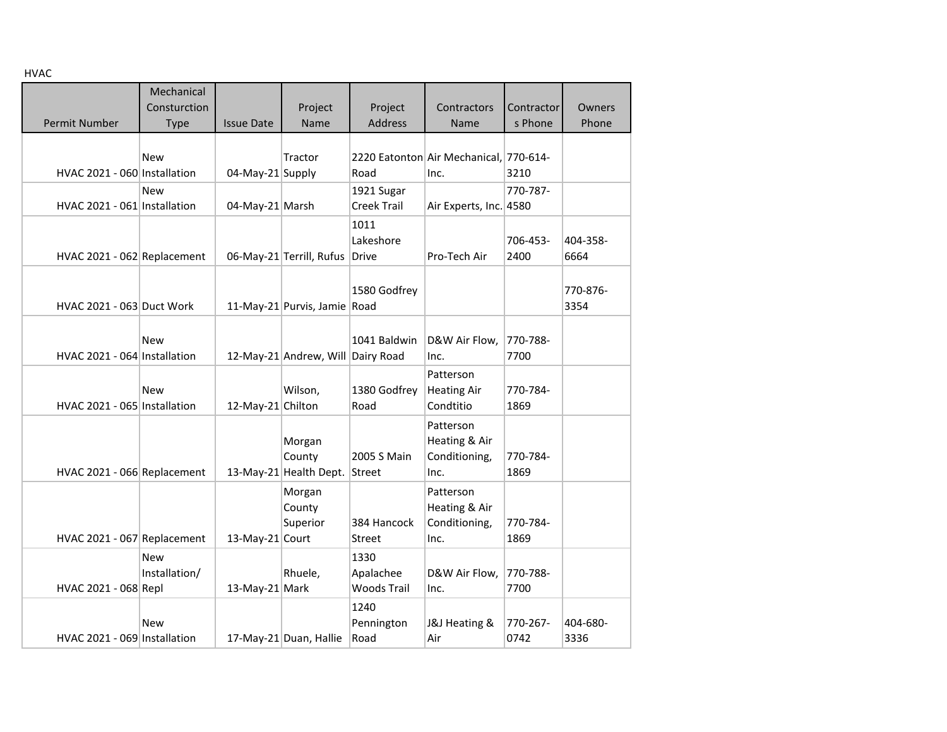HVAC

| пунс                         |               |                   |                                   |                    |                                        |            |          |
|------------------------------|---------------|-------------------|-----------------------------------|--------------------|----------------------------------------|------------|----------|
|                              | Mechanical    |                   |                                   |                    |                                        |            |          |
|                              | Consturction  |                   | Project                           | Project            | Contractors                            | Contractor | Owners   |
| Permit Number                | <b>Type</b>   | <b>Issue Date</b> | Name                              | <b>Address</b>     | Name                                   | s Phone    | Phone    |
|                              |               |                   |                                   |                    |                                        |            |          |
|                              |               |                   |                                   |                    |                                        |            |          |
|                              | New           |                   | Tractor                           |                    | 2220 Eatonton Air Mechanical, 770-614- |            |          |
| HVAC 2021 - 060 Installation |               | 04-May-21 Supply  |                                   | Road               | Inc.                                   | 3210       |          |
|                              | <b>New</b>    |                   |                                   | 1921 Sugar         |                                        | 770-787-   |          |
| HVAC 2021 - 061 Installation |               | 04-May-21 Marsh   |                                   | Creek Trail        | Air Experts, Inc. 4580                 |            |          |
|                              |               |                   |                                   | 1011               |                                        |            |          |
|                              |               |                   |                                   | Lakeshore          |                                        | 706-453-   | 404-358- |
| HVAC 2021 - 062 Replacement  |               |                   | 06-May-21 Terrill, Rufus          | <b>Drive</b>       | Pro-Tech Air                           | 2400       | 6664     |
|                              |               |                   |                                   |                    |                                        |            |          |
|                              |               |                   |                                   | 1580 Godfrey       |                                        |            | 770-876- |
| HVAC 2021 - 063 Duct Work    |               |                   | 11-May-21 Purvis, Jamie Road      |                    |                                        |            | 3354     |
|                              |               |                   |                                   |                    |                                        |            |          |
|                              |               |                   |                                   |                    |                                        |            |          |
|                              | New           |                   |                                   | 1041 Baldwin       | D&W Air Flow,                          | 770-788-   |          |
| HVAC 2021 - 064 Installation |               |                   | 12-May-21 Andrew, Will Dairy Road |                    | Inc.                                   | 7700       |          |
|                              |               |                   |                                   |                    | Patterson                              |            |          |
|                              | <b>New</b>    |                   | Wilson,                           | 1380 Godfrey       | <b>Heating Air</b>                     | 770-784-   |          |
| HVAC 2021 - 065 Installation |               | 12-May-21 Chilton |                                   | Road               | Condtitio                              | 1869       |          |
|                              |               |                   |                                   |                    | Patterson                              |            |          |
|                              |               |                   | Morgan                            |                    | Heating & Air                          |            |          |
|                              |               |                   | County                            | 2005 S Main        | Conditioning,                          | 770-784-   |          |
| HVAC 2021 - 066 Replacement  |               |                   | 13-May-21 Health Dept.            | Street             | Inc.                                   | 1869       |          |
|                              |               |                   |                                   |                    |                                        |            |          |
|                              |               |                   | Morgan                            |                    | Patterson                              |            |          |
|                              |               |                   | County                            |                    | Heating & Air                          |            |          |
|                              |               |                   | Superior                          | 384 Hancock        | Conditioning,                          | 770-784-   |          |
| HVAC 2021 - 067 Replacement  |               | 13-May-21 Court   |                                   | Street             | Inc.                                   | 1869       |          |
|                              | <b>New</b>    |                   |                                   | 1330               |                                        |            |          |
|                              | Installation/ |                   | Rhuele,                           | Apalachee          | D&W Air Flow,                          | 770-788-   |          |
| HVAC 2021 - 068 Repl         |               | 13-May-21 Mark    |                                   | <b>Woods Trail</b> | Inc.                                   | 7700       |          |
|                              |               |                   |                                   | 1240               |                                        |            |          |
|                              | New           |                   |                                   | Pennington         | J&J Heating &                          | 770-267-   | 404-680- |
| HVAC 2021 - 069 Installation |               |                   | 17-May-21 Duan, Hallie            | Road               | Air                                    | 0742       | 3336     |
|                              |               |                   |                                   |                    |                                        |            |          |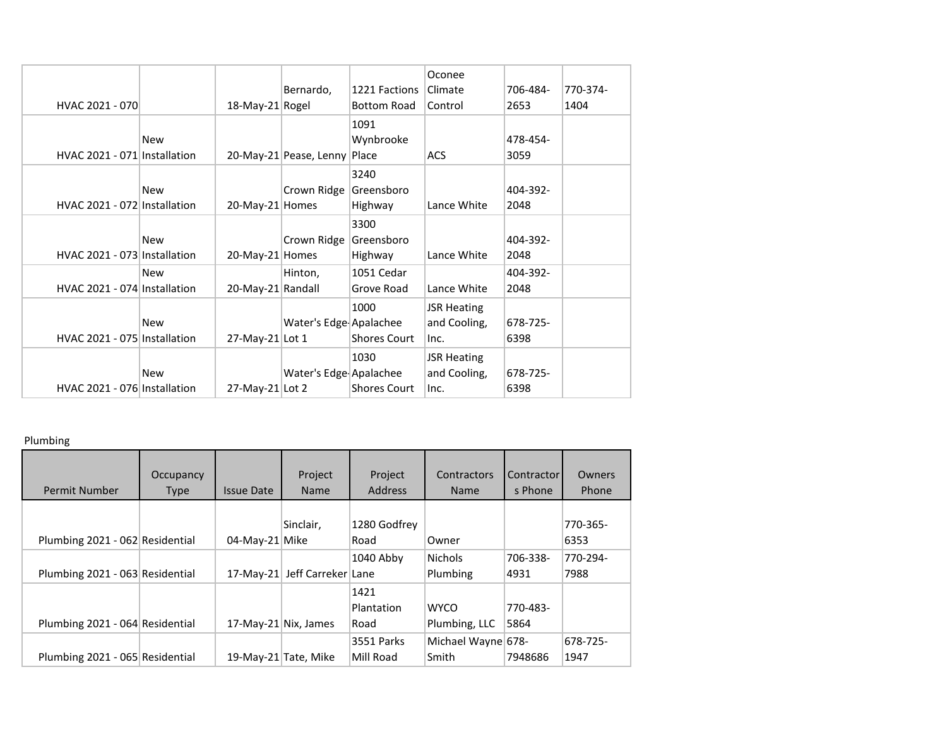|                              |            |                   |                        |                     | Oconee             |          |          |
|------------------------------|------------|-------------------|------------------------|---------------------|--------------------|----------|----------|
|                              |            |                   | Bernardo,              | 1221 Factions       | Climate            | 706-484- | 770-374- |
| HVAC 2021 - 070              |            | 18-May-21 Rogel   |                        | Bottom Road         | Control            | 2653     | 1404     |
|                              |            |                   |                        | 1091                |                    |          |          |
|                              | <b>New</b> |                   |                        | Wynbrooke           |                    | 478-454- |          |
| HVAC 2021 - 071 Installation |            |                   | 20-May-21 Pease, Lenny | Place               | <b>ACS</b>         | 3059     |          |
|                              |            |                   |                        | 3240                |                    |          |          |
|                              | <b>New</b> |                   | Crown Ridge            | Greensboro          |                    | 404-392- |          |
| HVAC 2021 - 072 Installation |            | 20-May-21 Homes   |                        | Highway             | Lance White        | 2048     |          |
|                              |            |                   |                        | 3300                |                    |          |          |
|                              | <b>New</b> |                   | Crown Ridge            | Greensboro          |                    | 404-392- |          |
| HVAC 2021 - 073 Installation |            | 20-May-21 Homes   |                        | Highway             | Lance White        | 2048     |          |
|                              | <b>New</b> |                   | Hinton,                | 1051 Cedar          |                    | 404-392- |          |
| HVAC 2021 - 074 Installation |            | 20-May-21 Randall |                        | Grove Road          | Lance White        | 2048     |          |
|                              |            |                   |                        | 1000                | <b>JSR Heating</b> |          |          |
|                              | <b>New</b> |                   | Water's Edge Apalachee |                     | and Cooling,       | 678-725- |          |
| HVAC 2021 - 075 Installation |            | 27-May-21 Lot 1   |                        | <b>Shores Court</b> | Inc.               | 6398     |          |
|                              |            |                   |                        | 1030                | <b>JSR Heating</b> |          |          |
|                              | New        |                   | Water's Edge Apalachee |                     | and Cooling,       | 678-725- |          |
| HVAC 2021 - 076 Installation |            | 27-May-21 Lot 2   |                        | <b>Shores Court</b> | Inc.               | 6398     |          |
|                              |            |                   |                        |                     |                    |          |          |

## Plumbing

| <b>Permit Number</b>            | Occupancy<br><b>Type</b> | <b>Issue Date</b> | Project<br><b>Name</b> | Project<br><b>Address</b>  | Contractors<br><b>Name</b>   | Contractor<br>s Phone | Owners<br>Phone  |
|---------------------------------|--------------------------|-------------------|------------------------|----------------------------|------------------------------|-----------------------|------------------|
| Plumbing 2021 - 062 Residential |                          | 04-May-21 Mike    | Sinclair,              | 1280 Godfrey<br>Road       | Owner                        |                       | 770-365-<br>6353 |
| Plumbing 2021 - 063 Residential |                          | $17-Mav-21$       | Jeff Carreker Lane     | 1040 Abby                  | <b>Nichols</b><br>Plumbing   | 706-338-<br>4931      | 770-294-<br>7988 |
| Plumbing 2021 - 064 Residential |                          |                   | 17-May-21 Nix, James   | 1421<br>Plantation<br>Road | <b>WYCO</b><br>Plumbing, LLC | 770-483-<br>5864      |                  |
| Plumbing 2021 - 065 Residential |                          |                   | 19-May-21 Tate, Mike   | 3551 Parks<br>Mill Road    | Michael Wayne 678-<br>Smith  | 7948686               | 678-725-<br>1947 |